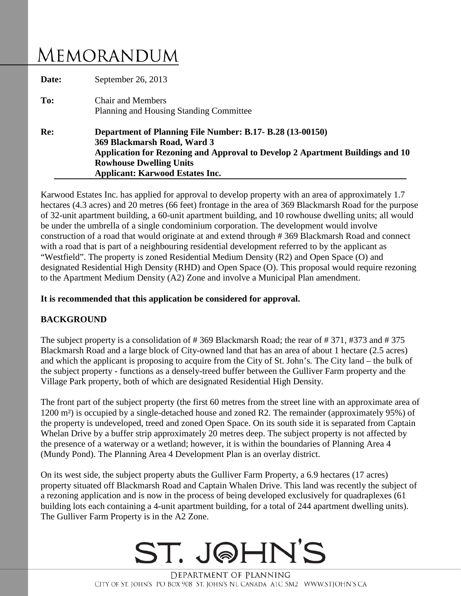# MEMORANDUM

| Date: | September 26, 2013                                                                                                                                                                                                                                    |
|-------|-------------------------------------------------------------------------------------------------------------------------------------------------------------------------------------------------------------------------------------------------------|
| To:   | <b>Chair and Members</b><br>Planning and Housing Standing Committee                                                                                                                                                                                   |
| Re:   | Department of Planning File Number: B.17- B.28 (13-00150)<br>369 Blackmarsh Road, Ward 3<br>Application for Rezoning and Approval to Develop 2 Apartment Buildings and 10<br><b>Rowhouse Dwelling Units</b><br><b>Applicant: Karwood Estates Inc.</b> |

Karwood Estates Inc. has applied for approval to develop property with an area of approximately 1.7 hectares (4.3 acres) and 20 metres (66 feet) frontage in the area of 369 Blackmarsh Road for the purpose of 32-unit apartment building, a 60-unit apartment building, and 10 rowhouse dwelling units; all would be under the umbrella of a single condominium corporation. The development would involve construction of a road that would originate at and extend through # 369 Blackmarsh Road and connect with a road that is part of a neighbouring residential development referred to by the applicant as "Westfield". The property is zoned Residential Medium Density (R2) and Open Space (O) and designated Residential High Density (RHD) and Open Space (O). This proposal would require rezoning to the Apartment Medium Density (A2) Zone and involve a Municipal Plan amendment.

#### **It is recommended that this application be considered for approval.**

### **BACKGROUND**

The subject property is a consolidation of # 369 Blackmarsh Road; the rear of # 371, #373 and # 375 Blackmarsh Road and a large block of City-owned land that has an area of about 1 hectare (2.5 acres) and which the applicant is proposing to acquire from the City of St. John's. The City land – the bulk of the subject property - functions as a densely-treed buffer between the Gulliver Farm property and the Village Park property, both of which are designated Residential High Density.

The front part of the subject property (the first 60 metres from the street line with an approximate area of 1200 m²) is occupied by a single-detached house and zoned R2. The remainder (approximately 95%) of the property is undeveloped, treed and zoned Open Space. On its south side it is separated from Captain Whelan Drive by a buffer strip approximately 20 metres deep. The subject property is not affected by the presence of a waterway or a wetland; however, it is within the boundaries of Planning Area 4 (Mundy Pond). The Planning Area 4 Development Plan is an overlay district.

On its west side, the subject property abuts the Gulliver Farm Property, a 6.9 hectares (17 acres) property situated off Blackmarsh Road and Captain Whalen Drive. This land was recently the subject of a rezoning application and is now in the process of being developed exclusively for quadraplexes (61 building lots each containing a 4-unit apartment building, for a total of 244 apartment dwelling units). The Gulliver Farm Property is in the A2 Zone.

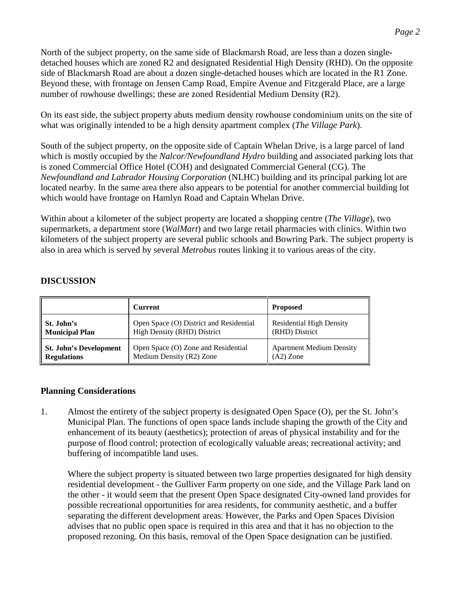North of the subject property, on the same side of Blackmarsh Road, are less than a dozen singledetached houses which are zoned R2 and designated Residential High Density (RHD). On the opposite side of Blackmarsh Road are about a dozen single-detached houses which are located in the R1 Zone. Beyond these, with frontage on Jensen Camp Road, Empire Avenue and Fitzgerald Place, are a large number of rowhouse dwellings; these are zoned Residential Medium Density (R2).

On its east side, the subject property abuts medium density rowhouse condominium units on the site of what was originally intended to be a high density apartment complex (*The Village Park*).

South of the subject property, on the opposite side of Captain Whelan Drive, is a large parcel of land which is mostly occupied by the *Nalcor/Newfoundland Hydro* building and associated parking lots that is zoned Commercial Office Hotel (COH) and designated Commercial General (CG). The *Newfoundland and Labrador Housing Corporation* (NLHC) building and its principal parking lot are located nearby. In the same area there also appears to be potential for another commercial building lot which would have frontage on Hamlyn Road and Captain Whelan Drive.

Within about a kilometer of the subject property are located a shopping centre (*The Village*), two supermarkets, a department store (*WalMart*) and two large retail pharmacies with clinics. Within two kilometers of the subject property are several public schools and Bowring Park. The subject property is also in area which is served by several *Metrobus* routes linking it to various areas of the city.

### **DISCUSSION**

|                               | Current                                 | <b>Proposed</b>                 |
|-------------------------------|-----------------------------------------|---------------------------------|
| St. John's                    | Open Space (O) District and Residential | <b>Residential High Density</b> |
| <b>Municipal Plan</b>         | High Density (RHD) District             | (RHD) District                  |
| <b>St. John's Development</b> | Open Space (O) Zone and Residential     | <b>Apartment Medium Density</b> |
| <b>Regulations</b>            | Medium Density (R2) Zone                | $(A2)$ Zone                     |

#### **Planning Considerations**

1. Almost the entirety of the subject property is designated Open Space (O), per the St. John's Municipal Plan. The functions of open space lands include shaping the growth of the City and enhancement of its beauty (aesthetics); protection of areas of physical instability and for the purpose of flood control; protection of ecologically valuable areas; recreational activity; and buffering of incompatible land uses.

Where the subject property is situated between two large properties designated for high density residential development - the Gulliver Farm property on one side, and the Village Park land on the other - it would seem that the present Open Space designated City-owned land provides for possible recreational opportunities for area residents, for community aesthetic, and a buffer separating the different development areas. However, the Parks and Open Spaces Division advises that no public open space is required in this area and that it has no objection to the proposed rezoning. On this basis, removal of the Open Space designation can be justified.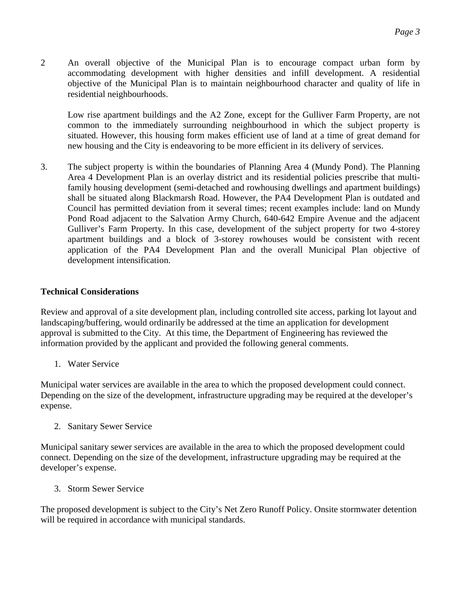2 An overall objective of the Municipal Plan is to encourage compact urban form by accommodating development with higher densities and infill development. A residential objective of the Municipal Plan is to maintain neighbourhood character and quality of life in residential neighbourhoods.

Low rise apartment buildings and the A2 Zone, except for the Gulliver Farm Property, are not common to the immediately surrounding neighbourhood in which the subject property is situated. However, this housing form makes efficient use of land at a time of great demand for new housing and the City is endeavoring to be more efficient in its delivery of services.

3. The subject property is within the boundaries of Planning Area 4 (Mundy Pond). The Planning Area 4 Development Plan is an overlay district and its residential policies prescribe that multifamily housing development (semi-detached and rowhousing dwellings and apartment buildings) shall be situated along Blackmarsh Road. However, the PA4 Development Plan is outdated and Council has permitted deviation from it several times; recent examples include: land on Mundy Pond Road adjacent to the Salvation Army Church, 640-642 Empire Avenue and the adjacent Gulliver's Farm Property. In this case, development of the subject property for two 4-storey apartment buildings and a block of 3-storey rowhouses would be consistent with recent application of the PA4 Development Plan and the overall Municipal Plan objective of development intensification.

## **Technical Considerations**

Review and approval of a site development plan, including controlled site access, parking lot layout and landscaping/buffering, would ordinarily be addressed at the time an application for development approval is submitted to the City. At this time, the Department of Engineering has reviewed the information provided by the applicant and provided the following general comments.

1. Water Service

Municipal water services are available in the area to which the proposed development could connect. Depending on the size of the development, infrastructure upgrading may be required at the developer's expense.

2. Sanitary Sewer Service

Municipal sanitary sewer services are available in the area to which the proposed development could connect. Depending on the size of the development, infrastructure upgrading may be required at the developer's expense.

3. Storm Sewer Service

The proposed development is subject to the City's Net Zero Runoff Policy. Onsite stormwater detention will be required in accordance with municipal standards.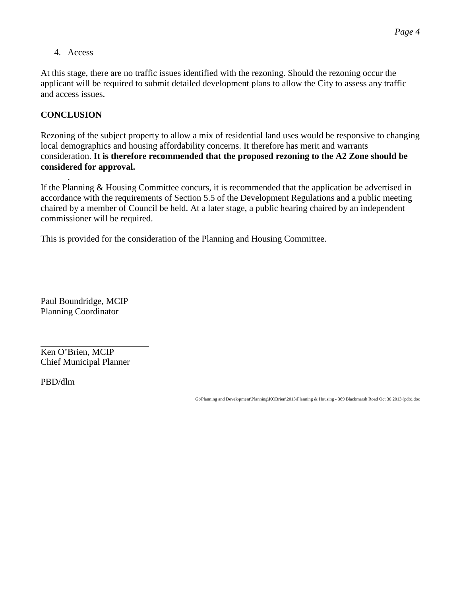4. Access

At this stage, there are no traffic issues identified with the rezoning. Should the rezoning occur the applicant will be required to submit detailed development plans to allow the City to assess any traffic and access issues.

## **CONCLUSION**

Rezoning of the subject property to allow a mix of residential land uses would be responsive to changing local demographics and housing affordability concerns. It therefore has merit and warrants consideration. **It is therefore recommended that the proposed rezoning to the A2 Zone should be considered for approval.**

. If the Planning & Housing Committee concurs, it is recommended that the application be advertised in accordance with the requirements of Section 5.5 of the Development Regulations and a public meeting chaired by a member of Council be held. At a later stage, a public hearing chaired by an independent commissioner will be required.

This is provided for the consideration of the Planning and Housing Committee.

Paul Boundridge, MCIP Planning Coordinator

Ken O'Brien, MCIP Chief Municipal Planner

PBD/dlm

G:\Planning and Development\Planning\KOBrien\2013\Planning & Housing - 369 Blackmarsh Road Oct 30 2013 (pdb).doc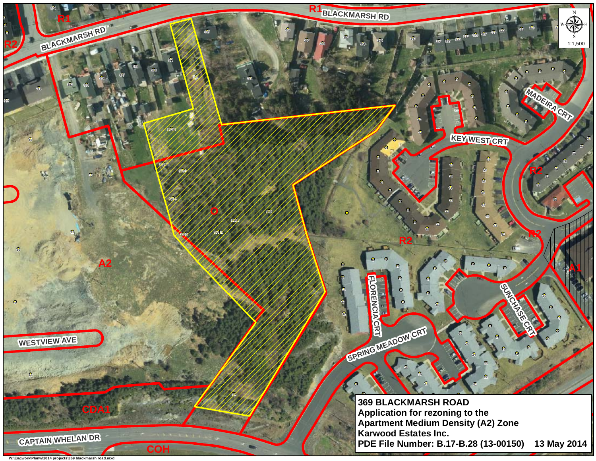